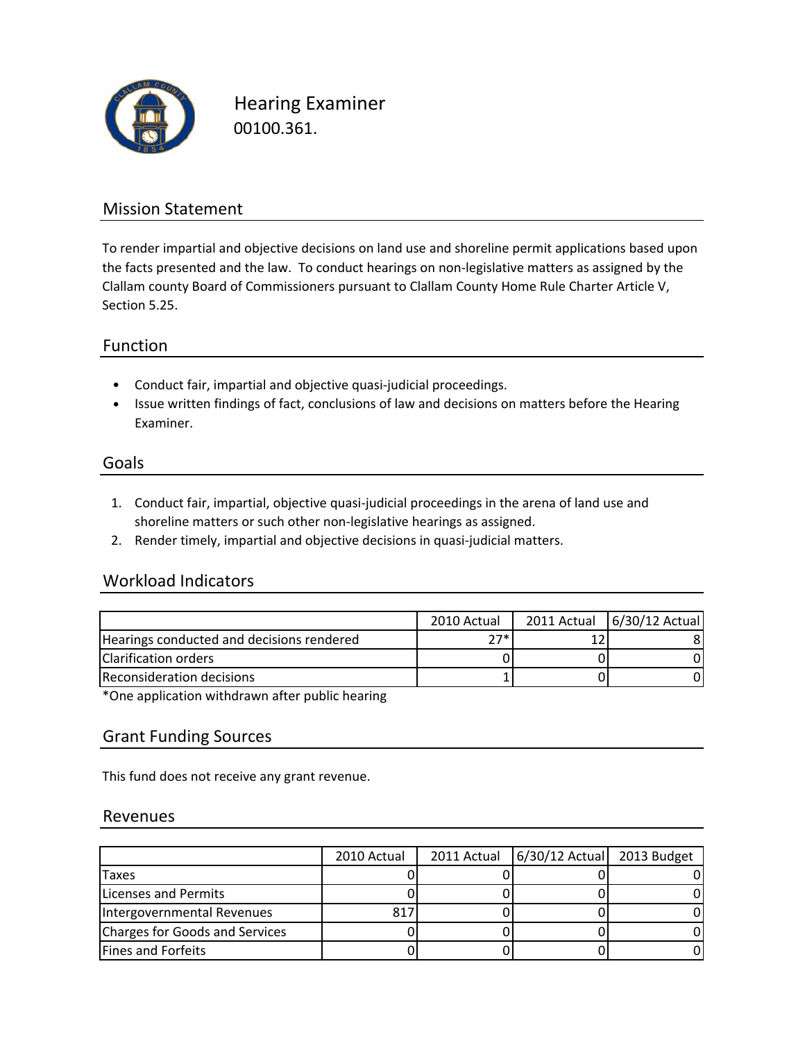

Hearing Examiner 00100.361.

### Mission Statement

To render impartial and objective decisions on land use and shoreline permit applications based upon the facts presented and the law. To conduct hearings on non-legislative matters as assigned by the Clallam county Board of Commissioners pursuant to Clallam County Home Rule Charter Article V, Section 5.25.

#### Function

- Conduct fair, impartial and objective quasi‐judicial proceedings.
- Issue written findings of fact, conclusions of law and decisions on matters before the Hearing Examiner.

#### Goals

- 1. Conduct fair, impartial, objective quasi‐judicial proceedings in the arena of land use and shoreline matters or such other non-legislative hearings as assigned.
- 2. Render timely, impartial and objective decisions in quasi‐judicial matters.

### Workload Indicators

|                                           | 2010 Actual | 2011 Actual 6/30/12 Actual |
|-------------------------------------------|-------------|----------------------------|
| Hearings conducted and decisions rendered | つつ*         |                            |
| Clarification orders                      |             |                            |
| Reconsideration decisions                 |             |                            |

\*One application withdrawn after public hearing

### Grant Funding Sources

This fund does not receive any grant revenue.

#### Revenues

|                                | 2010 Actual | 2011 Actual   6/30/12 Actual   2013 Budget |  |
|--------------------------------|-------------|--------------------------------------------|--|
| Taxes                          |             |                                            |  |
| <b>Licenses and Permits</b>    |             |                                            |  |
| Intergovernmental Revenues     | 817         |                                            |  |
| Charges for Goods and Services |             |                                            |  |
| <b>Fines and Forfeits</b>      |             |                                            |  |